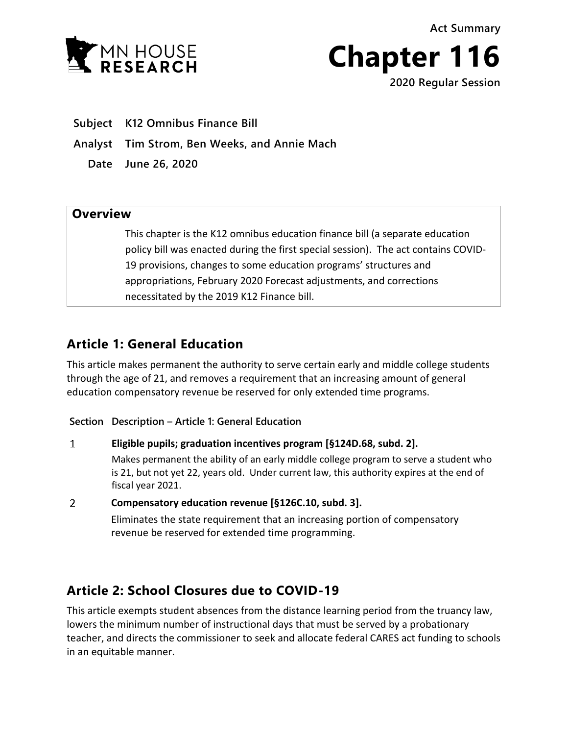**Act Summary**



**Chapter 116** 

**2020 Regular Session**

**Subject K12 Omnibus Finance Bill**

**Analyst Tim Strom, Ben Weeks, and Annie Mach**

**Date June 26, 2020**

## **Overview**

This chapter is the K12 omnibus education finance bill (a separate education policy bill was enacted during the first special session). The act contains COVID-19 provisions, changes to some education programs' structures and appropriations, February 2020 Forecast adjustments, and corrections necessitated by the 2019 K12 Finance bill.

# **Article 1: General Education**

This article makes permanent the authority to serve certain early and middle college students through the age of 21, and removes a requirement that an increasing amount of general education compensatory revenue be reserved for only extended time programs.

## **Section Description – Article 1: General Education**

## $\mathbf{1}$ **Eligible pupils; graduation incentives program [§124D.68, subd. 2].**

Makes permanent the ability of an early middle college program to serve a student who is 21, but not yet 22, years old. Under current law, this authority expires at the end of fiscal year 2021.

 $\overline{2}$ **Compensatory education revenue [§126C.10, subd. 3].** Eliminates the state requirement that an increasing portion of compensatory revenue be reserved for extended time programming.

# **Article 2: School Closures due to COVID-19**

This article exempts student absences from the distance learning period from the truancy law, lowers the minimum number of instructional days that must be served by a probationary teacher, and directs the commissioner to seek and allocate federal CARES act funding to schools in an equitable manner.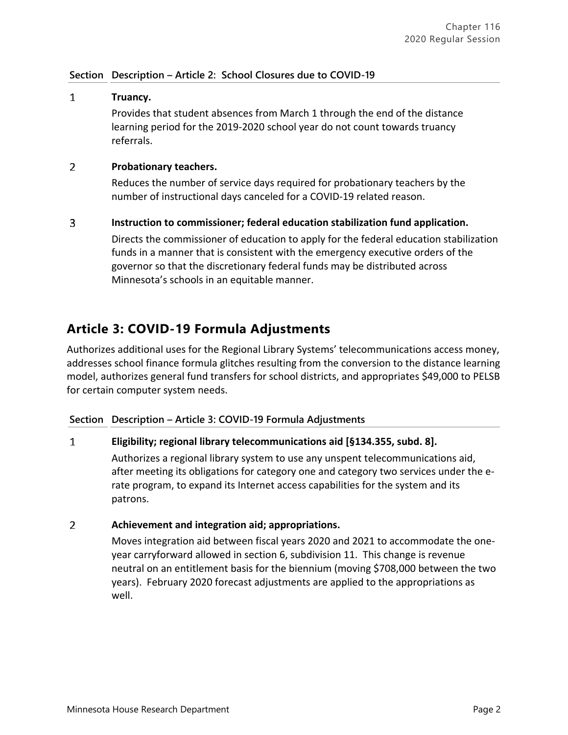## **Section Description – Article 2: School Closures due to COVID-19**

## $\mathbf{1}$ **Truancy.** Provides that student absences from March 1 through the end of the distance learning period for the 2019-2020 school year do not count towards truancy referrals.

#### $\mathcal{P}$ **Probationary teachers.**

Reduces the number of service days required for probationary teachers by the number of instructional days canceled for a COVID-19 related reason.

### $\overline{3}$ **Instruction to commissioner; federal education stabilization fund application.**

Directs the commissioner of education to apply for the federal education stabilization funds in a manner that is consistent with the emergency executive orders of the governor so that the discretionary federal funds may be distributed across Minnesota's schools in an equitable manner.

# **Article 3: COVID-19 Formula Adjustments**

Authorizes additional uses for the Regional Library Systems' telecommunications access money, addresses school finance formula glitches resulting from the conversion to the distance learning model, authorizes general fund transfers for school districts, and appropriates \$49,000 to PELSB for certain computer system needs.

## **Section Description – Article 3: COVID-19 Formula Adjustments**

### $\mathbf{1}$ **Eligibility; regional library telecommunications aid [§134.355, subd. 8].**

Authorizes a regional library system to use any unspent telecommunications aid, after meeting its obligations for category one and category two services under the erate program, to expand its Internet access capabilities for the system and its patrons.

### $\overline{2}$ **Achievement and integration aid; appropriations.**

Moves integration aid between fiscal years 2020 and 2021 to accommodate the oneyear carryforward allowed in section 6, subdivision 11. This change is revenue neutral on an entitlement basis for the biennium (moving \$708,000 between the two years). February 2020 forecast adjustments are applied to the appropriations as well.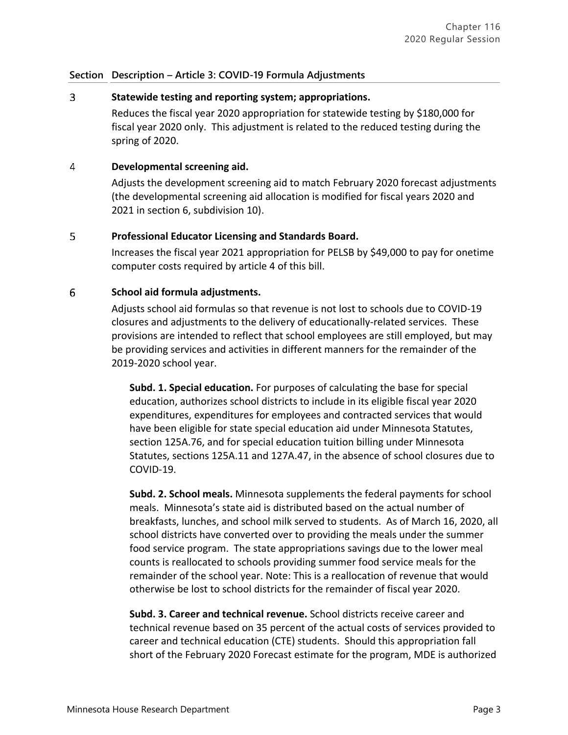## $\overline{3}$ **Statewide testing and reporting system; appropriations.**

Reduces the fiscal year 2020 appropriation for statewide testing by \$180,000 for fiscal year 2020 only. This adjustment is related to the reduced testing during the spring of 2020.

#### 4 **Developmental screening aid.**

Adjusts the development screening aid to match February 2020 forecast adjustments (the developmental screening aid allocation is modified for fiscal years 2020 and 2021 in section 6, subdivision 10).

### 5 **Professional Educator Licensing and Standards Board.**

Increases the fiscal year 2021 appropriation for PELSB by \$49,000 to pay for onetime computer costs required by article 4 of this bill.

### 6 **School aid formula adjustments.**

Adjusts school aid formulas so that revenue is not lost to schools due to COVID-19 closures and adjustments to the delivery of educationally-related services. These provisions are intended to reflect that school employees are still employed, but may be providing services and activities in different manners for the remainder of the 2019-2020 school year.

**Subd. 1. Special education.** For purposes of calculating the base for special education, authorizes school districts to include in its eligible fiscal year 2020 expenditures, expenditures for employees and contracted services that would have been eligible for state special education aid under Minnesota Statutes, section 125A.76, and for special education tuition billing under Minnesota Statutes, sections 125A.11 and 127A.47, in the absence of school closures due to COVID-19.

**Subd. 2. School meals.** Minnesota supplements the federal payments for school meals. Minnesota's state aid is distributed based on the actual number of breakfasts, lunches, and school milk served to students. As of March 16, 2020, all school districts have converted over to providing the meals under the summer food service program. The state appropriations savings due to the lower meal counts is reallocated to schools providing summer food service meals for the remainder of the school year. Note: This is a reallocation of revenue that would otherwise be lost to school districts for the remainder of fiscal year 2020.

**Subd. 3. Career and technical revenue.** School districts receive career and technical revenue based on 35 percent of the actual costs of services provided to career and technical education (CTE) students. Should this appropriation fall short of the February 2020 Forecast estimate for the program, MDE is authorized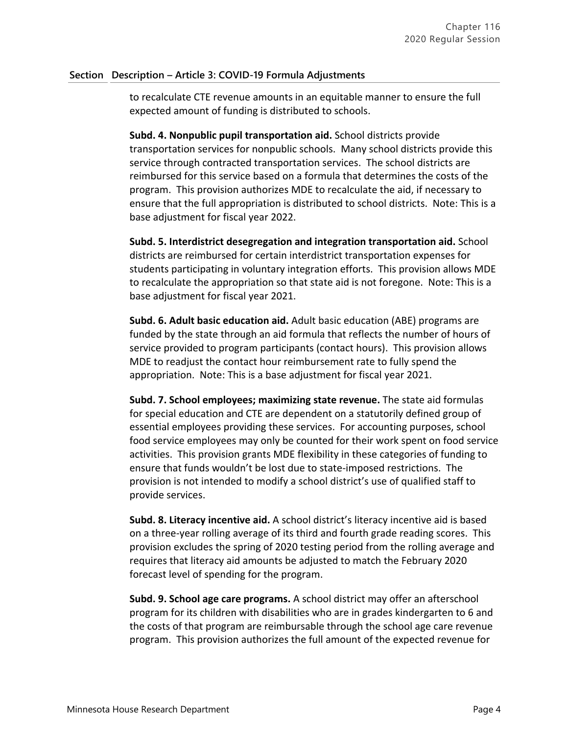to recalculate CTE revenue amounts in an equitable manner to ensure the full expected amount of funding is distributed to schools.

**Subd. 4. Nonpublic pupil transportation aid.** School districts provide transportation services for nonpublic schools. Many school districts provide this service through contracted transportation services. The school districts are reimbursed for this service based on a formula that determines the costs of the program. This provision authorizes MDE to recalculate the aid, if necessary to ensure that the full appropriation is distributed to school districts. Note: This is a base adjustment for fiscal year 2022.

**Subd. 5. Interdistrict desegregation and integration transportation aid.** School districts are reimbursed for certain interdistrict transportation expenses for students participating in voluntary integration efforts. This provision allows MDE to recalculate the appropriation so that state aid is not foregone. Note: This is a base adjustment for fiscal year 2021.

**Subd. 6. Adult basic education aid.** Adult basic education (ABE) programs are funded by the state through an aid formula that reflects the number of hours of service provided to program participants (contact hours). This provision allows MDE to readjust the contact hour reimbursement rate to fully spend the appropriation. Note: This is a base adjustment for fiscal year 2021.

**Subd. 7. School employees; maximizing state revenue.** The state aid formulas for special education and CTE are dependent on a statutorily defined group of essential employees providing these services. For accounting purposes, school food service employees may only be counted for their work spent on food service activities. This provision grants MDE flexibility in these categories of funding to ensure that funds wouldn't be lost due to state-imposed restrictions. The provision is not intended to modify a school district's use of qualified staff to provide services.

**Subd. 8. Literacy incentive aid.** A school district's literacy incentive aid is based on a three-year rolling average of its third and fourth grade reading scores. This provision excludes the spring of 2020 testing period from the rolling average and requires that literacy aid amounts be adjusted to match the February 2020 forecast level of spending for the program.

**Subd. 9. School age care programs.** A school district may offer an afterschool program for its children with disabilities who are in grades kindergarten to 6 and the costs of that program are reimbursable through the school age care revenue program. This provision authorizes the full amount of the expected revenue for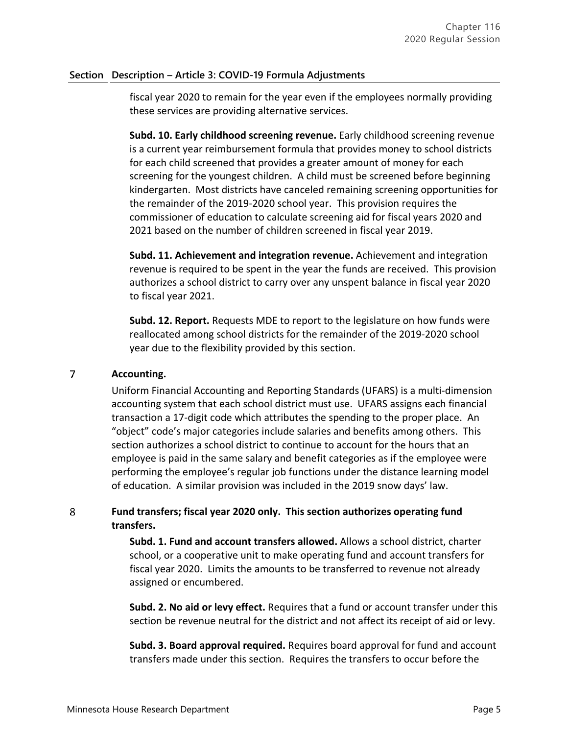fiscal year 2020 to remain for the year even if the employees normally providing these services are providing alternative services.

**Subd. 10. Early childhood screening revenue.** Early childhood screening revenue is a current year reimbursement formula that provides money to school districts for each child screened that provides a greater amount of money for each screening for the youngest children. A child must be screened before beginning kindergarten. Most districts have canceled remaining screening opportunities for the remainder of the 2019-2020 school year. This provision requires the commissioner of education to calculate screening aid for fiscal years 2020 and 2021 based on the number of children screened in fiscal year 2019.

**Subd. 11. Achievement and integration revenue.** Achievement and integration revenue is required to be spent in the year the funds are received. This provision authorizes a school district to carry over any unspent balance in fiscal year 2020 to fiscal year 2021.

**Subd. 12. Report.** Requests MDE to report to the legislature on how funds were reallocated among school districts for the remainder of the 2019-2020 school year due to the flexibility provided by this section.

## $\overline{7}$ **Accounting.**

Uniform Financial Accounting and Reporting Standards (UFARS) is a multi-dimension accounting system that each school district must use. UFARS assigns each financial transaction a 17-digit code which attributes the spending to the proper place. An "object" code's major categories include salaries and benefits among others. This section authorizes a school district to continue to account for the hours that an employee is paid in the same salary and benefit categories as if the employee were performing the employee's regular job functions under the distance learning model of education. A similar provision was included in the 2019 snow days' law.

## 8 **Fund transfers; fiscal year 2020 only. This section authorizes operating fund transfers.**

**Subd. 1. Fund and account transfers allowed.** Allows a school district, charter school, or a cooperative unit to make operating fund and account transfers for fiscal year 2020. Limits the amounts to be transferred to revenue not already assigned or encumbered.

**Subd. 2. No aid or levy effect.** Requires that a fund or account transfer under this section be revenue neutral for the district and not affect its receipt of aid or levy.

**Subd. 3. Board approval required.** Requires board approval for fund and account transfers made under this section. Requires the transfers to occur before the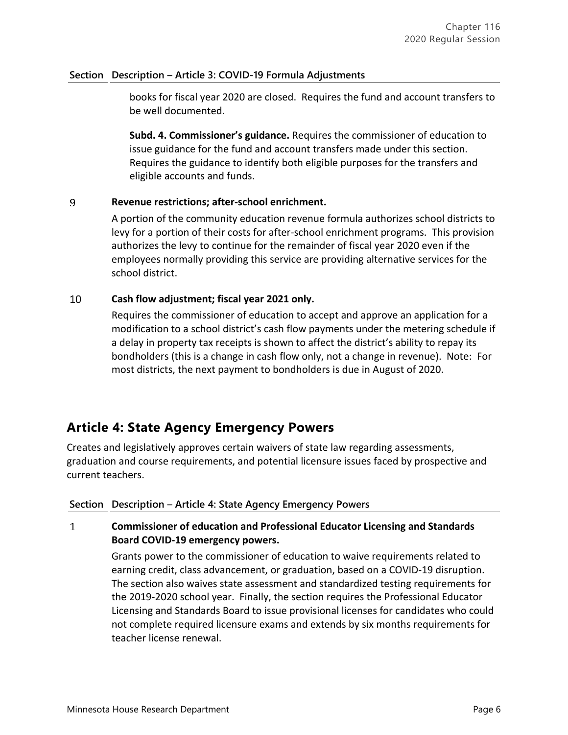books for fiscal year 2020 are closed. Requires the fund and account transfers to be well documented.

**Subd. 4. Commissioner's guidance.** Requires the commissioner of education to issue guidance for the fund and account transfers made under this section. Requires the guidance to identify both eligible purposes for the transfers and eligible accounts and funds.

## 9 **Revenue restrictions; after-school enrichment.**

A portion of the community education revenue formula authorizes school districts to levy for a portion of their costs for after-school enrichment programs. This provision authorizes the levy to continue for the remainder of fiscal year 2020 even if the employees normally providing this service are providing alternative services for the school district.

## 10 **Cash flow adjustment; fiscal year 2021 only.**

Requires the commissioner of education to accept and approve an application for a modification to a school district's cash flow payments under the metering schedule if a delay in property tax receipts is shown to affect the district's ability to repay its bondholders (this is a change in cash flow only, not a change in revenue). Note: For most districts, the next payment to bondholders is due in August of 2020.

# **Article 4: State Agency Emergency Powers**

Creates and legislatively approves certain waivers of state law regarding assessments, graduation and course requirements, and potential licensure issues faced by prospective and current teachers.

## **Section Description – Article 4: State Agency Emergency Powers**

## $\mathbf{1}$ **Commissioner of education and Professional Educator Licensing and Standards Board COVID-19 emergency powers.**

Grants power to the commissioner of education to waive requirements related to earning credit, class advancement, or graduation, based on a COVID-19 disruption. The section also waives state assessment and standardized testing requirements for the 2019-2020 school year. Finally, the section requires the Professional Educator Licensing and Standards Board to issue provisional licenses for candidates who could not complete required licensure exams and extends by six months requirements for teacher license renewal.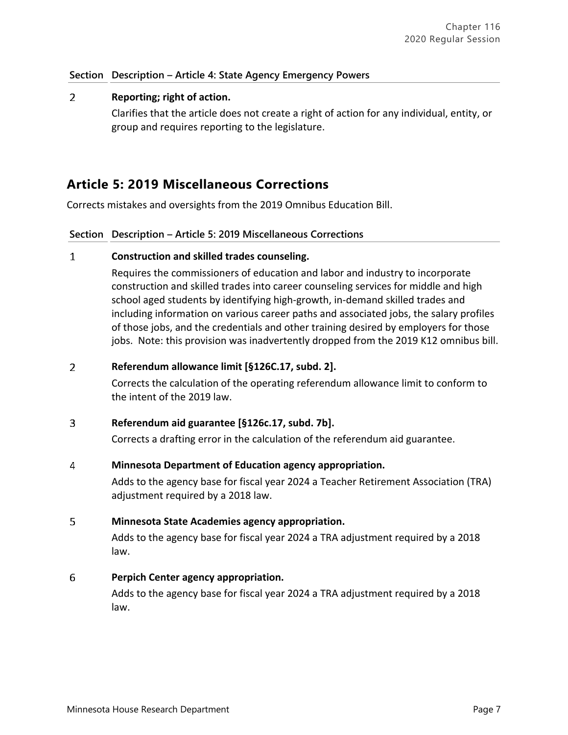## **Section Description – Article 4: State Agency Emergency Powers**

## $2<sup>1</sup>$ **Reporting; right of action.**

Clarifies that the article does not create a right of action for any individual, entity, or group and requires reporting to the legislature.

# **Article 5: 2019 Miscellaneous Corrections**

Corrects mistakes and oversights from the 2019 Omnibus Education Bill.

## **Section Description – Article 5: 2019 Miscellaneous Corrections**

### $\mathbf{1}$ **Construction and skilled trades counseling.**

Requires the commissioners of education and labor and industry to incorporate construction and skilled trades into career counseling services for middle and high school aged students by identifying high-growth, in-demand skilled trades and including information on various career paths and associated jobs, the salary profiles of those jobs, and the credentials and other training desired by employers for those jobs. Note: this provision was inadvertently dropped from the 2019 K12 omnibus bill.

### $\overline{2}$ **Referendum allowance limit [§126C.17, subd. 2].**

Corrects the calculation of the operating referendum allowance limit to conform to the intent of the 2019 law.

### $3<sup>1</sup>$ **Referendum aid guarantee [§126c.17, subd. 7b].**

Corrects a drafting error in the calculation of the referendum aid guarantee.

### 4 **Minnesota Department of Education agency appropriation.**

Adds to the agency base for fiscal year 2024 a Teacher Retirement Association (TRA) adjustment required by a 2018 law.

### 5 **Minnesota State Academies agency appropriation.**

Adds to the agency base for fiscal year 2024 a TRA adjustment required by a 2018 law.

## 6 **Perpich Center agency appropriation.**

Adds to the agency base for fiscal year 2024 a TRA adjustment required by a 2018 law.